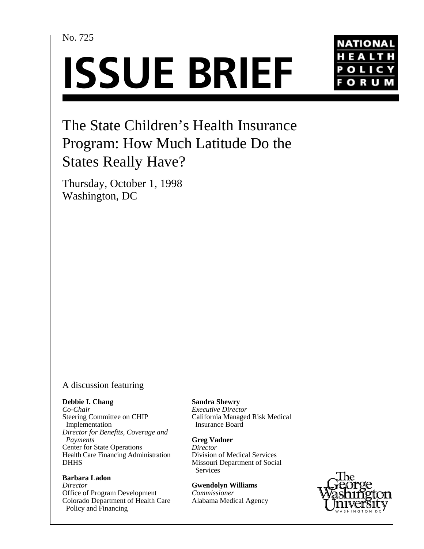No. 725

# **ISSUE BRIEF**



# The State Children's Health Insurance Program: How Much Latitude Do the States Really Have?

Thursday, October 1, 1998 Washington, DC

## A discussion featuring

#### **Debbie I. Chang**

*Co-Chair* Steering Committee on CHIP Implementation *Director for Benefits, Coverage and Payments* Center for State Operations Health Care Financing Administration **DHHS** 

#### **Barbara Ladon**

*Director* Office of Program Development Colorado Department of Health Care Policy and Financing

**Sandra Shewry**

*Executive Director* California Managed Risk Medical Insurance Board

**Greg Vadner** *Director* Division of Medical Services Missouri Department of Social

 Services **Gwendolyn Williams**

*Commissioner* Alabama Medical Agency

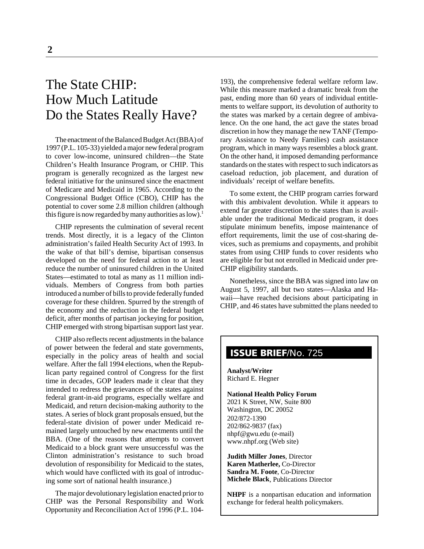# The State CHIP: How Much Latitude Do the States Really Have?

The enactment of the Balanced Budget Act (BBA) of 1997 (P.L. 105-33) yielded a major new federal program to cover low-income, uninsured children—the State Children's Health Insurance Program, or CHIP. This program is generally recognized as the largest new federal initiative for the uninsured since the enactment of Medicare and Medicaid in 1965. According to the Congressional Budget Office (CBO), CHIP has the potential to cover some 2.8 million children (although this figure is now regarded by many authorities as  $low$ .<sup>1</sup>

CHIP represents the culmination of several recent trends. Most directly, it is a legacy of the Clinton administration's failed Health Security Act of 1993. In the wake of that bill's demise, bipartisan consensus developed on the need for federal action to at least reduce the number of uninsured children in the United States—estimated to total as many as 11 million individuals. Members of Congress from both parties introduced a number of bills to provide federally funded coverage for these children. Spurred by the strength of the economy and the reduction in the federal budget deficit, after months of partisan jockeying for position, CHIP emerged with strong bipartisan support last year.

CHIP also reflects recent adjustments in the balance of power between the federal and state governments, especially in the policy areas of health and social welfare. After the fall 1994 elections, when the Republican party regained control of Congress for the first time in decades, GOP leaders made it clear that they intended to redress the grievances of the states against federal grant-in-aid programs, especially welfare and Medicaid, and return decision-making authority to the states. A series of block grant proposals ensued, but the federal-state division of power under Medicaid remained largely untouched by new enactments until the BBA. (One of the reasons that attempts to convert Medicaid to a block grant were unsuccessful was the Clinton administration's resistance to such broad devolution of responsibility for Medicaid to the states, which would have conflicted with its goal of introducing some sort of national health insurance.)

The major devolutionary legislation enacted prior to CHIP was the Personal Responsibility and Work Opportunity and Reconciliation Act of 1996 (P.L. 104193), the comprehensive federal welfare reform law. While this measure marked a dramatic break from the past, ending more than 60 years of individual entitlements to welfare support, its devolution of authority to the states was marked by a certain degree of ambivalence. On the one hand, the act gave the states broad discretion in how they manage the new TANF (Temporary Assistance to Needy Families) cash assistance program, which in many ways resembles a block grant. On the other hand, it imposed demanding performance standards on the states with respect to such indicators as caseload reduction, job placement, and duration of individuals' receipt of welfare benefits.

To some extent, the CHIP program carries forward with this ambivalent devolution. While it appears to extend far greater discretion to the states than is available under the traditional Medicaid program, it does stipulate minimum benefits, impose maintenance of effort requirements, limit the use of cost-sharing devices, such as premiums and copayments, and prohibit states from using CHIP funds to cover residents who are eligible for but not enrolled in Medicaid under pre-CHIP eligibility standards.

Nonetheless, since the BBA was signed into law on August 5, 1997, all but two states—Alaska and Hawaii—have reached decisions about participating in CHIP, and 46 states have submitted the plans needed to

# **ISSUE BRIEF**/No. 725

**Analyst/Writer** Richard E. Hegner

#### **National Health Policy Forum**

2021 K Street, NW, Suite 800 Washington, DC 20052 202/872-1390 202/862-9837 (fax) nhpf@gwu.edu (e-mail) www.nhpf.org (Web site)

**Judith Miller Jones**, Director **Karen Matherlee,** Co-Director **Sandra M. Foote**, Co-Director **Michele Black**, Publications Director

**NHPF** is a nonpartisan education and information exchange for federal health policymakers.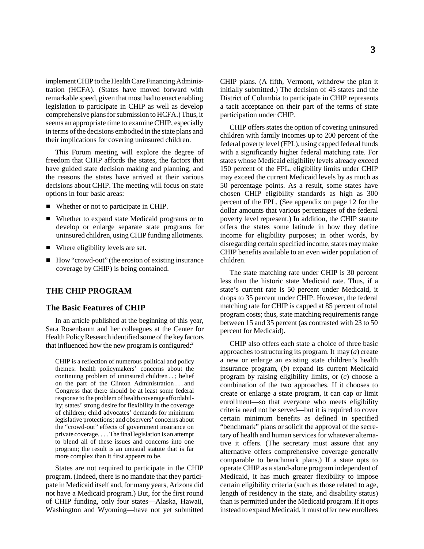implement CHIP to the Health Care Financing Administration (HCFA). (States have moved forward with remarkable speed, given that most had to enact enabling legislation to participate in CHIP as well as develop comprehensive plans for submission to HCFA.) Thus, it seems an appropriate time to examine CHIP, especially in terms of the decisions embodied in the state plans and their implications for covering uninsured children.

This Forum meeting will explore the degree of freedom that CHIP affords the states, the factors that have guided state decision making and planning, and the reasons the states have arrived at their various decisions about CHIP. The meeting will focus on state options in four basic areas:

- Whether or not to participate in CHIP.
- Whether to expand state Medicaid programs or to develop or enlarge separate state programs for uninsured children, using CHIP funding allotments.
- Where eligibility levels are set.
- How "crowd-out" (the erosion of existing insurance coverage by CHIP) is being contained.

#### **THE CHIP PROGRAM**

#### **The Basic Features of CHIP**

In an article published at the beginning of this year, Sara Rosenbaum and her colleagues at the Center for Health Policy Research identified some of the key factors that influenced how the new program is configured: $2<sup>2</sup>$ 

CHIP is a reflection of numerous political and policy themes: health policymakers' concerns about the continuing problem of uninsured children . . ; belief on the part of the Clinton Administration . . . and Congress that there should be at least some federal response to the problem of health coverage affordability; states' strong desire for flexibility in the coverage of children; child advocates' demands for minimum legislative protections; and observers' concerns about the "crowd-out" effects of government insurance on private coverage. . . . The final legislation is an attempt to blend all of these issues and concerns into one program; the result is an unusual statute that is far more complex than it first appears to be.

States are not required to participate in the CHIP program. (Indeed, there is no mandate that they participate in Medicaid itself and, for many years, Arizona did not have a Medicaid program.) But, for the first round of CHIP funding, only four states—Alaska, Hawaii, Washington and Wyoming—have not yet submitted CHIP plans. (A fifth, Vermont, withdrew the plan it initially submitted.) The decision of 45 states and the District of Columbia to participate in CHIP represents a tacit acceptance on their part of the terms of state participation under CHIP.

CHIP offers states the option of covering uninsured children with family incomes up to 200 percent of the federal poverty level (FPL), using capped federal funds with a significantly higher federal matching rate. For states whose Medicaid eligibility levels already exceed 150 percent of the FPL, eligibility limits under CHIP may exceed the current Medicaid levels by as much as 50 percentage points. As a result, some states have chosen CHIP eligibility standards as high as 300 percent of the FPL. (See appendix on page 12 for the dollar amounts that various percentages of the federal poverty level represent.) In addition, the CHIP statute offers the states some latitude in how they define income for eligibility purposes; in other words, by disregarding certain specified income, states may make CHIP benefits available to an even wider population of children.

The state matching rate under CHIP is 30 percent less than the historic state Medicaid rate. Thus, if a state's current rate is 50 percent under Medicaid, it drops to 35 percent under CHIP. However, the federal matching rate for CHIP is capped at 85 percent of total program costs; thus, state matching requirements range between 15 and 35 percent (as contrasted with 23 to 50 percent for Medicaid).

CHIP also offers each state a choice of three basic approaches to structuring its program. It may (*a*) create a new or enlarge an existing state children's health insurance program, (*b*) expand its current Medicaid program by raising eligibility limits, or (*c*) choose a combination of the two approaches. If it chooses to create or enlarge a state program, it can cap or limit enrollment—so that everyone who meets eligibility criteria need not be served—but it is required to cover certain minimum benefits as defined in specified "benchmark" plans or solicit the approval of the secretary of health and human services for whatever alternative it offers. (The secretary must assure that any alternative offers comprehensive coverage generally comparable to benchmark plans.) If a state opts to operate CHIP as a stand-alone program independent of Medicaid, it has much greater flexibility to impose certain eligibility criteria (such as those related to age, length of residency in the state, and disability status) than is permitted under the Medicaid program. If it opts instead to expand Medicaid, it must offer new enrollees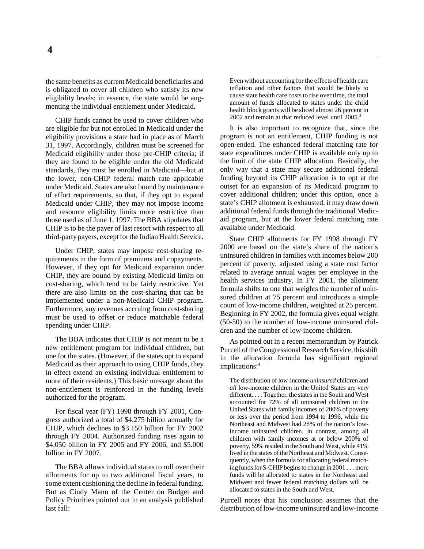**4**

the same benefits as current Medicaid beneficiaries and is obligated to cover all children who satisfy its new eligibility levels; in essence, the state would be augmenting the individual entitlement under Medicaid.

CHIP funds cannot be used to cover children who are eligible for but not enrolled in Medicaid under the eligibility provisions a state had in place as of March 31, 1997. Accordingly, children must be screened for Medicaid eligibility under those pre-CHIP criteria; if they are found to be eligible under the old Medicaid standards, they must be enrolled in Medicaid—but at the lower, non-CHIP federal match rate applicable under Medicaid. States are also bound by maintenance of effort requirements, so that, if they opt to expand Medicaid under CHIP, they may not impose income and resource eligibility limits more restrictive than those used as of June 1, 1997. The BBA stipulates that CHIP is to be the payer of last resort with respect to all third-party payers, except for the Indian Health Service.

Under CHIP, states may impose cost-sharing requirements in the form of premiums and copayments. However, if they opt for Medicaid expansion under CHIP, they are bound by existing Medicaid limits on cost-sharing, which tend to be fairly restrictive. Yet there are also limits on the cost-sharing that can be implemented under a non-Medicaid CHIP program. Furthermore, any revenues accruing from cost-sharing must be used to offset or reduce matchable federal spending under CHIP.

The BBA indicates that CHIP is not meant to be a new entitlement program for individual children, but one for the states. (However, if the states opt to expand Medicaid as their approach to using CHIP funds, they in effect extend an existing individual entitlement to more of their residents.) This basic message about the non-entitlement is reinforced in the funding levels authorized for the program.

For fiscal year (FY) 1998 through FY 2001, Congress authorized a total of \$4.275 billion annually for CHIP, which declines to \$3.150 billion for FY 2002 through FY 2004. Authorized funding rises again to \$4.050 billion in FY 2005 and FY 2006, and \$5.000 billion in FY 2007.

The BBA allows individual states to roll over their allotments for up to two additional fiscal years, to some extent cushioning the decline in federal funding. But as Cindy Mann of the Center on Budget and Policy Priorities pointed out in an analysis published last fall:

Even without accounting for the effects of health care inflation and other factors that would be likely to cause state health care costs to rise over time, the total amount of funds allocated to states under the child health block grants will be sliced almost 26 percent in 2002 and remain at that reduced level until 2005.<sup>3</sup>

It is also important to recognize that, since the program is not an entitlement, CHIP funding is not open-ended. The enhanced federal matching rate for state expenditures under CHIP is available only up to the limit of the state CHIP allocation. Basically, the only way that a state may secure additional federal funding beyond its CHIP allocation is to opt at the outset for an expansion of its Medicaid program to cover additional children; under this option, once a state's CHIP allotment is exhausted, it may draw down additional federal funds through the traditional Medicaid program, but at the lower federal matching rate available under Medicaid.

State CHIP allotments for FY 1998 through FY 2000 are based on the state's share of the nation's uninsured children in families with incomes below 200 percent of poverty, adjusted using a state cost factor related to average annual wages per employee in the health services industry. In FY 2001, the allotment formula shifts to one that weights the number of uninsured children at 75 percent and introduces a simple count of low-income children, weighted at 25 percent. Beginning in FY 2002, the formula gives equal weight (50-50) to the number of low-income uninsured children and the number of low-income children.

As pointed out in a recent memorandum by Patrick Purcell of the Congressional Research Service, this shift in the allocation formula has significant regional implications:<sup>4</sup>

The distribution of low-income *uninsured* children and *all* low-income children in the United States are very different. . . . Together, the states in the South and West accounted for 72% of all uninsured children in the United States with family incomes of 200% of poverty or less over the period from 1994 to 1996, while the Northeast and Midwest had 28% of the nation's lowincome uninsured children. In contrast, among all children with family incomes at or below 200% of poverty, 59% resided in the South and West, while 41% lived in the states of the Northeast and Midwest. Consequently, when the formula for allocating federal matching funds for S-CHIP begins to change in 2001 . . . more funds will be allocated to states in the Northeast and Midwest and fewer federal matching dollars will be allocated to states in the South and West.

Purcell notes that his conclusion assumes that the distribution of low-income uninsured and low-income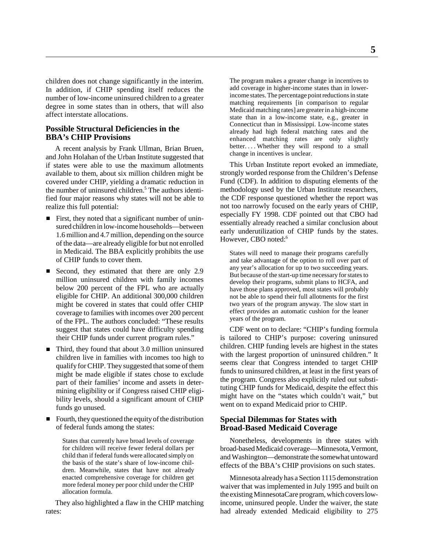children does not change significantly in the interim. In addition, if CHIP spending itself reduces the number of low-income uninsured children to a greater degree in some states than in others, that will also affect interstate allocations.

#### **Possible Structural Deficiencies in the BBA's CHIP Provisions**

A recent analysis by Frank Ullman, Brian Bruen, and John Holahan of the Urban Institute suggested that if states were able to use the maximum allotments available to them, about six million children might be covered under CHIP, yielding a dramatic reduction in the number of uninsured children.<sup>5</sup> The authors identified four major reasons why states will not be able to realize this full potential:

- First, they noted that a significant number of uninsured children in low-income households—between 1.6 million and 4.7 million, depending on the source of the data—are already eligible for but not enrolled in Medicaid. The BBA explicitly prohibits the use of CHIP funds to cover them.
- Second, they estimated that there are only 2.9 million uninsured children with family incomes below 200 percent of the FPL who are actually eligible for CHIP. An additional 300,000 children might be covered in states that could offer CHIP coverage to families with incomes over 200 percent of the FPL. The authors concluded: "These results suggest that states could have difficulty spending their CHIP funds under current program rules."
- Third, they found that about 3.0 million uninsured children live in families with incomes too high to qualify for CHIP. They suggested that some of them might be made eligible if states chose to exclude part of their families' income and assets in determining eligibility or if Congress raised CHIP eligibility levels, should a significant amount of CHIP funds go unused.
- Fourth, they questioned the equity of the distribution of federal funds among the states:

States that currently have broad levels of coverage for children will receive fewer federal dollars per child than if federal funds were allocated simply on the basis of the state's share of low-income children. Meanwhile, states that have not already enacted comprehensive coverage for children get more federal money per poor child under the CHIP allocation formula.

They also highlighted a flaw in the CHIP matching rates:

The program makes a greater change in incentives to add coverage in higher-income states than in lowerincome states. The percentage point reductions in state matching requirements [in comparison to regular Medicaid matching rates] are greater in a high-income state than in a low-income state, e.g., greater in Connecticut than in Mississippi. Low-income states already had high federal matching rates and the enhanced matching rates are only slightly better.... Whether they will respond to a small change in incentives is unclear.

This Urban Institute report evoked an immediate, strongly worded response from the Children's Defense Fund (CDF). In addition to disputing elements of the methodology used by the Urban Institute researchers, the CDF response questioned whether the report was not too narrowly focused on the early years of CHIP, especially FY 1998. CDF pointed out that CBO had essentially already reached a similar conclusion about early underutilization of CHIP funds by the states. However, CBO noted:<sup>6</sup>

States will need to manage their programs carefully and take advantage of the option to roll over part of any year's allocation for up to two succeeding years. But because of the start-up time necessary for states to develop their programs, submit plans to HCFA, and have those plans approved, most states will probably not be able to spend their full allotments for the first two years of the program anyway. The slow start in effect provides an automatic cushion for the leaner years of the program.

CDF went on to declare: "CHIP's funding formula is tailored to CHIP's purpose: covering uninsured children. CHIP funding levels are highest in the states with the largest proportion of uninsured children." It seems clear that Congress intended to target CHIP funds to uninsured children, at least in the first years of the program. Congress also explicitly ruled out substituting CHIP funds for Medicaid, despite the effect this might have on the "states which couldn't wait," but went on to expand Medicaid prior to CHIP.

#### **Special Dilemmas for States with Broad-Based Medicaid Coverage**

Nonetheless, developments in three states with broad-based Medicaid coverage—Minnesota, Vermont, and Washington—demonstrate the somewhat untoward effects of the BBA's CHIP provisions on such states.

Minnesota already has a Section 1115 demonstration waiver that was implemented in July 1995 and built on the existing MinnesotaCare program, which covers lowincome, uninsured people. Under the waiver, the state had already extended Medicaid eligibility to 275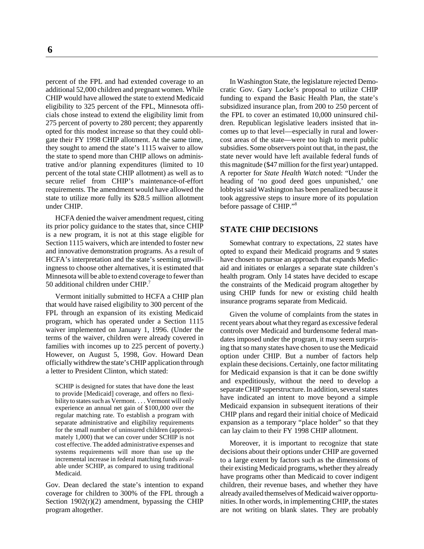percent of the FPL and had extended coverage to an additional 52,000 children and pregnant women. While CHIP would have allowed the state to extend Medicaid eligibility to 325 percent of the FPL, Minnesota officials chose instead to extend the eligibility limit from 275 percent of poverty to 280 percent; they apparently opted for this modest increase so that they could obligate their FY 1998 CHIP allotment. At the same time, they sought to amend the state's 1115 waiver to allow the state to spend more than CHIP allows on administrative and/or planning expenditures (limited to 10 percent of the total state CHIP allotment) as well as to secure relief from CHIP's maintenance-of-effort requirements. The amendment would have allowed the state to utilize more fully its \$28.5 million allotment under CHIP.

HCFA denied the waiver amendment request, citing its prior policy guidance to the states that, since CHIP is a new program, it is not at this stage eligible for Section 1115 waivers, which are intended to foster new and innovative demonstration programs. As a result of HCFA's interpretation and the state's seeming unwillingness to choose other alternatives, it is estimated that Minnesota will be able to extend coverage to fewer than 50 additional children under CHIP.7

Vermont initially submitted to HCFA a CHIP plan that would have raised eligibility to 300 percent of the FPL through an expansion of its existing Medicaid program, which has operated under a Section 1115 waiver implemented on January 1, 1996. (Under the terms of the waiver, children were already covered in families with incomes up to 225 percent of poverty.) However, on August 5, 1998, Gov. Howard Dean officially withdrew the state's CHIP application through a letter to President Clinton, which stated:

SCHIP is designed for states that have done the least to provide [Medicaid] coverage, and offers no flexibility to states such as Vermont. . . . Vermont will only experience an annual net gain of \$100,000 over the regular matching rate. To establish a program with separate administrative and eligibility requirements for the small number of uninsured children (approximately 1,000) that we can cover under SCHIP is not cost effective. The added administrative expenses and systems requirements will more than use up the incremental increase in federal matching funds available under SCHIP, as compared to using traditional Medicaid.

Gov. Dean declared the state's intention to expand coverage for children to 300% of the FPL through a Section  $1902(r)(2)$  amendment, bypassing the CHIP program altogether.

In Washington State, the legislature rejected Democratic Gov. Gary Locke's proposal to utilize CHIP funding to expand the Basic Health Plan, the state's subsidized insurance plan, from 200 to 250 percent of the FPL to cover an estimated 10,000 uninsured children. Republican legislative leaders insisted that incomes up to that level—especially in rural and lowercost areas of the state—were too high to merit public subsidies. Some observers point out that, in the past, the state never would have left available federal funds of this magnitude (\$47 million for the first year) untapped. A reporter for *State Health Watch* noted: "Under the heading of 'no good deed goes unpunished,' one lobbyist said Washington has been penalized because it took aggressive steps to insure more of its population before passage of CHIP."8

#### **STATE CHIP DECISIONS**

Somewhat contrary to expectations, 22 states have opted to expand their Medicaid programs and 9 states have chosen to pursue an approach that expands Medicaid and initiates or enlarges a separate state children's health program. Only 14 states have decided to escape the constraints of the Medicaid program altogether by using CHIP funds for new or existing child health insurance programs separate from Medicaid.

Given the volume of complaints from the states in recent years about what they regard as excessive federal controls over Medicaid and burdensome federal mandates imposed under the program, it may seem surprising that so many states have chosen to use the Medicaid option under CHIP. But a number of factors help explain these decisions. Certainly, one factor militating for Medicaid expansion is that it can be done swiftly and expeditiously, without the need to develop a separate CHIP superstructure. In addition, several states have indicated an intent to move beyond a simple Medicaid expansion in subsequent iterations of their CHIP plans and regard their initial choice of Medicaid expansion as a temporary "place holder" so that they can lay claim to their FY 1998 CHIP allotment.

Moreover, it is important to recognize that state decisions about their options under CHIP are governed to a large extent by factors such as the dimensions of their existing Medicaid programs, whether they already have programs other than Medicaid to cover indigent children, their revenue bases, and whether they have already availed themselves of Medicaid waiver opportunities. In other words, in implementing CHIP, the states are not writing on blank slates. They are probably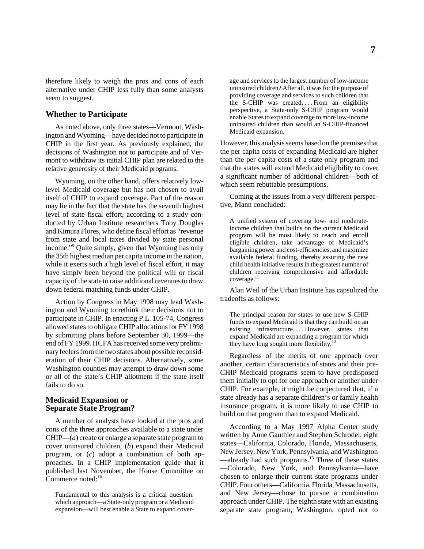therefore likely to weigh the pros and cons of each alternative under CHIP less fully than some analysts seem to suggest.

#### **Whether to Participate**

As noted above, only three states—Vermont, Washington and Wyoming—have decided not to participate in CHIP in the first year. As previously explained, the decisions of Washington not to participate and of Vermont to withdraw its initial CHIP plan are related to the relative generosity of their Medicaid programs.

Wyoming, on the other hand, offers relatively lowlevel Medicaid coverage but has not chosen to avail itself of CHIP to expand coverage. Part of the reason may lie in the fact that the state has the seventh highest level of state fiscal effort, according to a study conducted by Urban Institute researchers Toby Douglas and Kimura Flores, who define fiscal effort as "revenue from state and local taxes divided by state personal income."9 Quite simply, given that Wyoming has only the 35th highest median per capita income in the nation, while it exerts such a high level of fiscal effort, it may have simply been beyond the political will or fiscal capacity of the state to raise additional revenues to draw down federal matching funds under CHIP.

Action by Congress in May 1998 may lead Washington and Wyoming to rethink their decisions not to participate in CHIP. In enacting P.L. 105-74, Congress allowed states to obligate CHIP allocations for FY 1998 by submitting plans before September 30, 1999—the end of FY 1999. HCFA has received some very preliminary feelers from the two states about possible reconsideration of their CHIP decisions. Alternatively, some Washington counties may attempt to draw down some or all of the state's CHIP allotment if the state itself fails to do so.

#### **Medicaid Expansion or Separate State Program?**

A number of analysts have looked at the pros and cons of the three approaches available to a state under CHIP—(*a*) create or enlarge a separate state program to cover uninsured children, (*b*) expand their Medicaid program, or (*c*) adopt a combination of both approaches. In a CHIP implementation guide that it published last November, the House Committee on Commerce noted:<sup>10</sup>

Fundamental to this analysis is a critical question: which approach—a State-only program or a Medicaid expansion—will best enable a State to expand cover-

age and services to the largest number of low-income uninsured children? After all, it was for the purpose of providing coverage and services to such children that the S-CHIP was created. . . . From an eligibility perspective, a State-only S-CHIP program would enable States to expand coverage to more low-income uninsured children than would an S-CHIP-financed Medicaid expansion.

However, this analysis seems based on the premises that the per capita costs of expanding Medicaid are higher than the per capita costs of a state-only program and that the states will extend Medicaid eligibility to cover a significant number of additional children—both of which seem rebuttable presumptions.

Coming at the issues from a very different perspective, Mann concluded:

A unified system of covering low- and moderateincome children that builds on the current Medicaid program will be most likely to reach and enroll eligible children, take advantage of Medicaid's bargaining power and cost-efficiencies, and maximize available federal funding, thereby assuring the new child health initiative results in the greatest number of children receiving comprehensive and affordable coverage.<sup>11</sup>

Alan Weil of the Urban Institute has capsulized the tradeoffs as follows:

The principal reason for states to use new S-CHIP funds to expand Medicaid is that they can build on an existing infrastructure.... However, states that expand Medicaid are expanding a program for which they have long sought more flexibility.<sup>12</sup>

Regardless of the merits of one approach over another, certain characteristics of states and their pre-CHIP Medicaid programs seem to have predisposed them initially to opt for one approach or another under CHIP. For example, it might be conjectured that, if a state already has a separate children's or family health insurance program, it is more likely to use CHIP to build on that program than to expand Medicaid.

According to a May 1997 Alpha Center study written by Anne Gauthier and Stephen Schrodel, eight states—California, Colorado, Florida, Massachusetts, New Jersey, New York, Pennsylvania, and Washington —already had such programs.<sup>13</sup> Three of these states —Colorado, New York, and Pennsylvania—have chosen to enlarge their current state programs under CHIP. Four others—California, Florida, Massachusetts, and New Jersey—chose to pursue a combination approach under CHIP. The eighth state with an existing separate state program, Washington, opted not to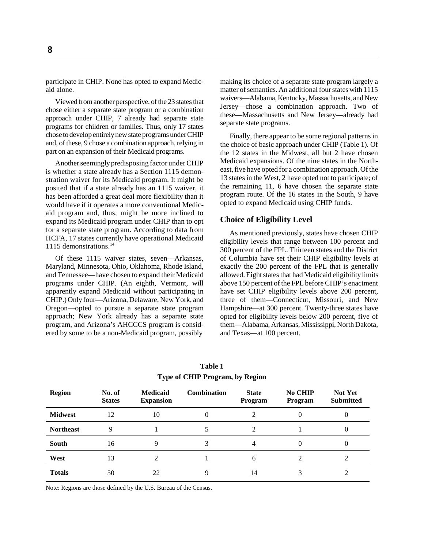participate in CHIP. None has opted to expand Medicaid alone.

Viewed from another perspective, of the 23 states that chose either a separate state program or a combination approach under CHIP, 7 already had separate state programs for children or families. Thus, only 17 states chose to develop entirely new state programs under CHIP and, of these, 9 chose a combination approach, relying in part on an expansion of their Medicaid programs.

Another seemingly predisposing factor under CHIP is whether a state already has a Section 1115 demonstration waiver for its Medicaid program. It might be posited that if a state already has an 1115 waiver, it has been afforded a great deal more flexibility than it would have if it operates a more conventional Medicaid program and, thus, might be more inclined to expand its Medicaid program under CHIP than to opt for a separate state program. According to data from HCFA, 17 states currently have operational Medicaid 1115 demonstrations.<sup>14</sup>

Of these 1115 waiver states, seven—Arkansas, Maryland, Minnesota, Ohio, Oklahoma, Rhode Island, and Tennessee—have chosen to expand their Medicaid programs under CHIP. (An eighth, Vermont, will apparently expand Medicaid without participating in CHIP.) Only four—Arizona, Delaware, New York, and Oregon—opted to pursue a separate state program approach; New York already has a separate state program, and Arizona's AHCCCS program is considered by some to be a non-Medicaid program, possibly

making its choice of a separate state program largely a matter of semantics. An additional four states with 1115 waivers—Alabama, Kentucky, Massachusetts, and New Jersey—chose a combination approach. Two of these—Massachusetts and New Jersey—already had separate state programs.

Finally, there appear to be some regional patterns in the choice of basic approach under CHIP (Table 1). Of the 12 states in the Midwest, all but 2 have chosen Medicaid expansions. Of the nine states in the Northeast, five have opted for a combination approach. Of the 13 states in the West, 2 have opted not to participate; of the remaining 11, 6 have chosen the separate state program route. Of the 16 states in the South, 9 have opted to expand Medicaid using CHIP funds.

#### **Choice of Eligibility Level**

As mentioned previously, states have chosen CHIP eligibility levels that range between 100 percent and 300 percent of the FPL. Thirteen states and the District of Columbia have set their CHIP eligibility levels at exactly the 200 percent of the FPL that is generally allowed. Eight states that had Medicaid eligibility limits above 150 percent of the FPL before CHIP's enactment have set CHIP eligibility levels above 200 percent, three of them—Connecticut, Missouri, and New Hampshire—at 300 percent. Twenty-three states have opted for eligibility levels below 200 percent, five of them—Alabama, Arkansas, Mississippi, North Dakota, and Texas—at 100 percent.

| <b>Region</b>    | No. of<br><b>States</b> | <b>Medicaid</b><br><b>Expansion</b> | <b>Combination</b> | <b>State</b><br>Program | <b>No CHIP</b><br>Program | <b>Not Yet</b><br><b>Submitted</b> |
|------------------|-------------------------|-------------------------------------|--------------------|-------------------------|---------------------------|------------------------------------|
| <b>Midwest</b>   | 12                      | 10                                  | $\theta$           |                         | 0                         | 0                                  |
| <b>Northeast</b> | 9                       |                                     | 5                  | $\mathfrak{D}$          |                           | $\theta$                           |
| <b>South</b>     | 16                      |                                     |                    |                         | 0                         | 0                                  |
| West             | 13                      | $\mathcal{D}_{\mathcal{L}}$         |                    | 6                       | 2                         |                                    |
| <b>Totals</b>    | 50                      | 22                                  |                    | 14                      | 3                         |                                    |

**Table 1 Type of CHIP Program, by Region**

Note: Regions are those defined by the U.S. Bureau of the Census.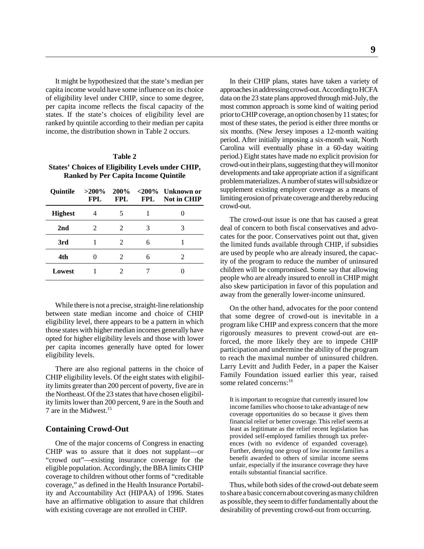It might be hypothesized that the state's median per capita income would have some influence on its choice of eligibility level under CHIP, since to some degree, per capita income reflects the fiscal capacity of the states. If the state's choices of eligibility level are ranked by quintile according to their median per capita income, the distribution shown in Table 2 occurs.

#### **Table 2**

**States' Choices of Eligibility Levels under CHIP, Ranked by Per Capita Income Quintile**

| <b>Ouintile</b> | $>200\%$<br>FPL. | FPL.           | <b>FPL</b> | $200\%$ <200% Unknown or<br><b>Not in CHIP</b> |
|-----------------|------------------|----------------|------------|------------------------------------------------|
| <b>Highest</b>  |                  | 5              |            |                                                |
| 2 <sub>nd</sub> | $\mathfrak{D}$   | $\mathfrak{D}$ | 3          | 3                                              |
| 3rd             |                  | 2              | 6          |                                                |
| 4th             |                  | 2              | 6          |                                                |
| Lowest          |                  |                |            |                                                |

While there is not a precise, straight-line relationship between state median income and choice of CHIP eligibility level, there appears to be a pattern in which those states with higher median incomes generally have opted for higher eligibility levels and those with lower per capita incomes generally have opted for lower eligibility levels.

There are also regional patterns in the choice of CHIP eligibility levels. Of the eight states with eligibility limits greater than 200 percent of poverty, five are in the Northeast. Of the 23 states that have chosen eligibility limits lower than 200 percent, 9 are in the South and 7 are in the Midwest  $15$ 

#### **Containing Crowd-Out**

One of the major concerns of Congress in enacting CHIP was to assure that it does not supplant—or "crowd out"—existing insurance coverage for the eligible population. Accordingly, the BBA limits CHIP coverage to children without other forms of "creditable coverage," as defined in the Health Insurance Portability and Accountability Act (HIPAA) of 1996. States have an affirmative obligation to assure that children with existing coverage are not enrolled in CHIP.

In their CHIP plans, states have taken a variety of approaches in addressing crowd-out. According to HCFA data on the 23 state plans approved through mid-July, the most common approach is some kind of waiting period prior to CHIP coverage, an option chosen by 11 states; for most of these states, the period is either three months or six months. (New Jersey imposes a 12-month waiting period. After initially imposing a six-month wait, North Carolina will eventually phase in a 60-day waiting period.) Eight states have made no explicit provision for crowd-out in their plans, suggesting that they will monitor developments and take appropriate action if a significant problem materializes. A number of states will subsidize or supplement existing employer coverage as a means of limiting erosion of private coverage and thereby reducing crowd-out.

The crowd-out issue is one that has caused a great deal of concern to both fiscal conservatives and advocates for the poor. Conservatives point out that, given the limited funds available through CHIP, if subsidies are used by people who are already insured, the capacity of the program to reduce the number of uninsured children will be compromised. Some say that allowing people who are already insured to enroll in CHIP might also skew participation in favor of this population and away from the generally lower-income uninsured.

On the other hand, advocates for the poor contend that some degree of crowd-out is inevitable in a program like CHIP and express concern that the more rigorously measures to prevent crowd-out are enforced, the more likely they are to impede CHIP participation and undermine the ability of the program to reach the maximal number of uninsured children. Larry Levitt and Judith Feder, in a paper the Kaiser Family Foundation issued earlier this year, raised some related concerns:<sup>16</sup>

It is important to recognize that currently insured low income families who choose to take advantage of new coverage opportunities do so because it gives them financial relief or better coverage. This relief seems at least as legitimate as the relief recent legislation has provided self-employed families through tax preferences (with no evidence of expanded coverage). Further, denying one group of low income families a benefit awarded to others of similar income seems unfair, especially if the insurance coverage they have entails substantial financial sacrifice.

Thus, while both sides of the crowd-out debate seem to share a basic concern about covering as many children as possible, they seem to differ fundamentally about the desirability of preventing crowd-out from occurring.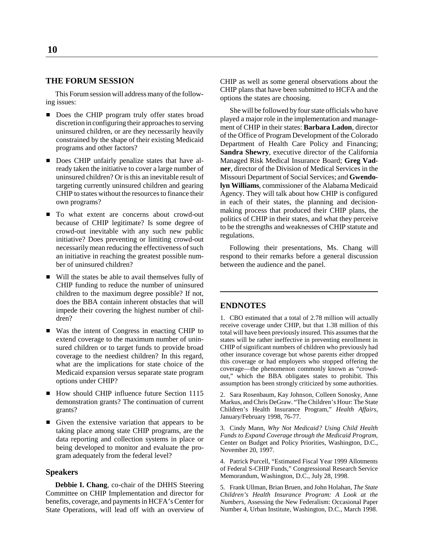#### **THE FORUM SESSION**

This Forum session will address many of the following issues:

- Does the CHIP program truly offer states broad discretion in configuring their approaches to serving uninsured children, or are they necessarily heavily constrained by the shape of their existing Medicaid programs and other factors?
- Does CHIP unfairly penalize states that have already taken the initiative to cover a large number of uninsured children? Or is this an inevitable result of targeting currently uninsured children and gearing CHIP to states without the resources to finance their own programs?
- To what extent are concerns about crowd-out because of CHIP legitimate? Is some degree of crowd-out inevitable with any such new public initiative? Does preventing or limiting crowd-out necessarily mean reducing the effectiveness of such an initiative in reaching the greatest possible number of uninsured children?
- Will the states be able to avail themselves fully of CHIP funding to reduce the number of uninsured children to the maximum degree possible? If not, does the BBA contain inherent obstacles that will impede their covering the highest number of children?
- Was the intent of Congress in enacting CHIP to extend coverage to the maximum number of uninsured children or to target funds to provide broad coverage to the neediest children? In this regard, what are the implications for state choice of the Medicaid expansion versus separate state program options under CHIP?
- How should CHIP influence future Section 1115 demonstration grants? The continuation of current grants?
- Given the extensive variation that appears to be taking place among state CHIP programs, are the data reporting and collection systems in place or being developed to monitor and evaluate the program adequately from the federal level?

#### **Speakers**

**Debbie I. Chang**, co-chair of the DHHS Steering Committee on CHIP Implementation and director for benefits, coverage, and payments in HCFA's Center for State Operations, will lead off with an overview of CHIP as well as some general observations about the CHIP plans that have been submitted to HCFA and the options the states are choosing.

She will be followed by four state officials who have played a major role in the implementation and management of CHIP in their states: **Barbara Ladon**, director of the Office of Program Development of the Colorado Department of Health Care Policy and Financing; **Sandra Shewry**, executive director of the California Managed Risk Medical Insurance Board; **Greg Vadner**, director of the Division of Medical Services in the Missouri Department of Social Services; and **Gwendolyn Williams**, commissioner of the Alabama Medicaid Agency. They will talk about how CHIP is configured in each of their states, the planning and decisionmaking process that produced their CHIP plans, the politics of CHIP in their states, and what they perceive to be the strengths and weaknesses of CHIP statute and regulations.

Following their presentations, Ms. Chang will respond to their remarks before a general discussion between the audience and the panel.

#### **ENDNOTES**

1. CBO estimated that a total of 2.78 million will actually receive coverage under CHIP, but that 1.38 million of this total will have been previously insured. This assumes that the states will be rather ineffective in preventing enrollment in CHIP of significant numbers of children who previously had other insurance coverage but whose parents either dropped this coverage or had employers who stopped offering the coverage—the phenomenon commonly known as "crowdout," which the BBA obligates states to prohibit. This assumption has been strongly criticized by some authorities.

2. Sara Rosenbaum, Kay Johnson, Colleen Sonosky, Anne Markus, and Chris DeGraw. "The Children's Hour: The State Children's Health Insurance Program," *Health Affairs,* January/February 1998, 76-77.

3. Cindy Mann, *Why Not Medicaid? Using Child Health Funds to Expand Coverage through the Medicaid Program,* Center on Budget and Policy Priorities, Washington, D.C., November 20, 1997.

4. Patrick Purcell, "Estimated Fiscal Year 1999 Allotments of Federal S-CHIP Funds," Congressional Research Service Memorandum, Washington, D.C., July 28, 1998.

5. Frank Ullman, Brian Bruen, and John Holahan, *The State Children's Health Insurance Program: A Look at the Numbers,* Assessing the New Federalism: Occasional Paper Number 4, Urban Institute, Washington, D.C., March 1998.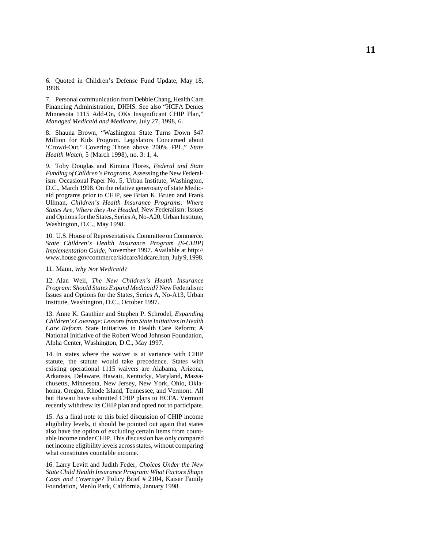6. Quoted in Children's Defense Fund Update, May 18, 1998.

7. Personal communication from Debbie Chang, Health Care Financing Administration, DHHS. See also "HCFA Denies Minnesota 1115 Add-On, OKs Insignificant CHIP Plan," *Managed Medicaid and Medicare,* July 27, 1998, 6.

8. Shauna Brown, "Washington State Turns Down \$47 Million for Kids Program. Legislators Concerned about 'Crowd-Out,' Covering Those above 200% FPL," *State Health Watch,* 5 (March 1998), no. 3: 1, 4.

9. Toby Douglas and Kimura Flores, *Federal and State Funding of Children's Programs,* Assessing the New Federalism: Occasional Paper No. 5, Urban Institute, Washington, D.C., March 1998. On the relative generosity of state Medicaid programs prior to CHIP, see Brian K. Bruen and Frank Ullman, *Children's Health Insurance Programs: Where States Are, Where they Are Headed,* New Federalism: Issues and Options for the States, Series A, No-A20, Urban Institute, Washington, D.C., May 1998.

10. U.S. House of Representatives. Committee on Commerce. *State Children's Health Insurance Program (S-CHIP) Implementation Guide,* November 1997. Available at http:// www.house.gov/commerce/kidcare/kidcare.htm, July 9, 1998.

11. Mann, *Why Not Medicaid?*

12. Alan Weil, *The New Children's Health Insurance Program: Should States Expand Medicaid?* New Federalism: Issues and Options for the States, Series A, No-A13, Urban Institute, Washington, D.C., October 1997.

13. Anne K. Gauthier and Stephen P. Schrodel, *Expanding Children's Coverage: Lessons from State Initiatives in Health Care Reform,* State Initiatives in Health Care Reform; A National Initiative of the Robert Wood Johnson Foundation, Alpha Center, Washington, D.C., May 1997.

14. In states where the waiver is at variance with CHIP statute, the statute would take precedence. States with existing operational 1115 waivers are Alabama, Arizona, Arkansas, Delaware, Hawaii, Kentucky, Maryland, Massachusetts, Minnesota, New Jersey, New York, Ohio, Oklahoma, Oregon, Rhode Island, Tennessee, and Vermont. All but Hawaii have submitted CHIP plans to HCFA. Vermont recently withdrew its CHIP plan and opted not to participate.

15. As a final note to this brief discussion of CHIP income eligibility levels, it should be pointed out again that states also have the option of excluding certain items from countable income under CHIP. This discussion has only compared net income eligibility levels across states, without comparing what constitutes countable income.

16. Larry Levitt and Judith Feder, *Choices Under the New State Child Health Insurance Program: What Factors Shape Costs and Coverage?* Policy Brief # 2104, Kaiser Family Foundation, Menlo Park, California, January 1998.